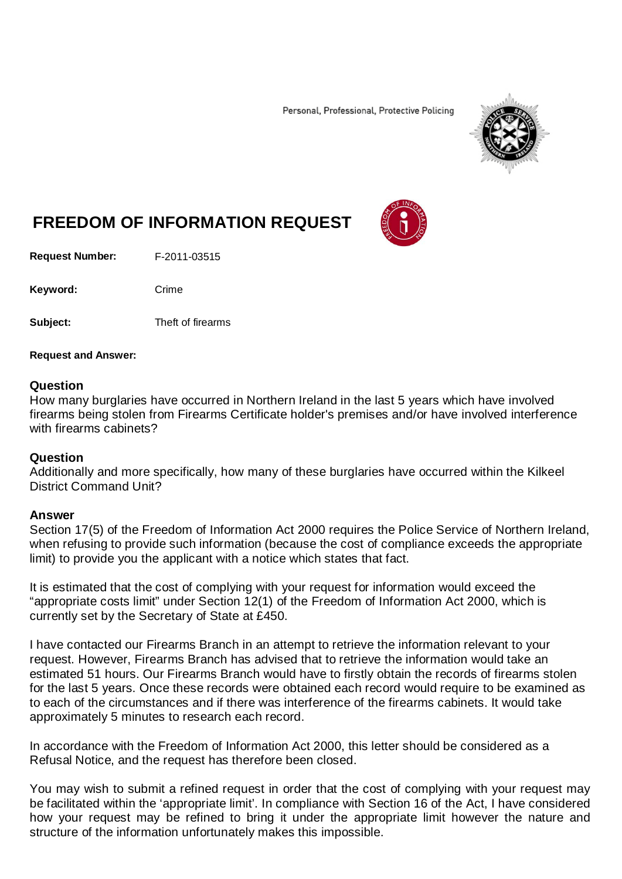Personal, Professional, Protective Policing



# **FREEDOM OF INFORMATION REQUEST**

**Request Number:** F-2011-03515

Keyword: Crime

**Subject:** Theft of firearms

#### **Request and Answer:**

### **Question**

How many burglaries have occurred in Northern Ireland in the last 5 years which have involved firearms being stolen from Firearms Certificate holder's premises and/or have involved interference with firearms cabinets?

## **Question**

Additionally and more specifically, how many of these burglaries have occurred within the Kilkeel District Command Unit?

## **Answer**

Section 17(5) of the Freedom of Information Act 2000 requires the Police Service of Northern Ireland, when refusing to provide such information (because the cost of compliance exceeds the appropriate limit) to provide you the applicant with a notice which states that fact.

It is estimated that the cost of complying with your request for information would exceed the "appropriate costs limit" under Section 12(1) of the Freedom of Information Act 2000, which is currently set by the Secretary of State at £450.

I have contacted our Firearms Branch in an attempt to retrieve the information relevant to your request. However, Firearms Branch has advised that to retrieve the information would take an estimated 51 hours. Our Firearms Branch would have to firstly obtain the records of firearms stolen for the last 5 years. Once these records were obtained each record would require to be examined as to each of the circumstances and if there was interference of the firearms cabinets. It would take approximately 5 minutes to research each record.

In accordance with the Freedom of Information Act 2000, this letter should be considered as a Refusal Notice, and the request has therefore been closed.

You may wish to submit a refined request in order that the cost of complying with your request may be facilitated within the 'appropriate limit'. In compliance with Section 16 of the Act, I have considered how your request may be refined to bring it under the appropriate limit however the nature and structure of the information unfortunately makes this impossible.